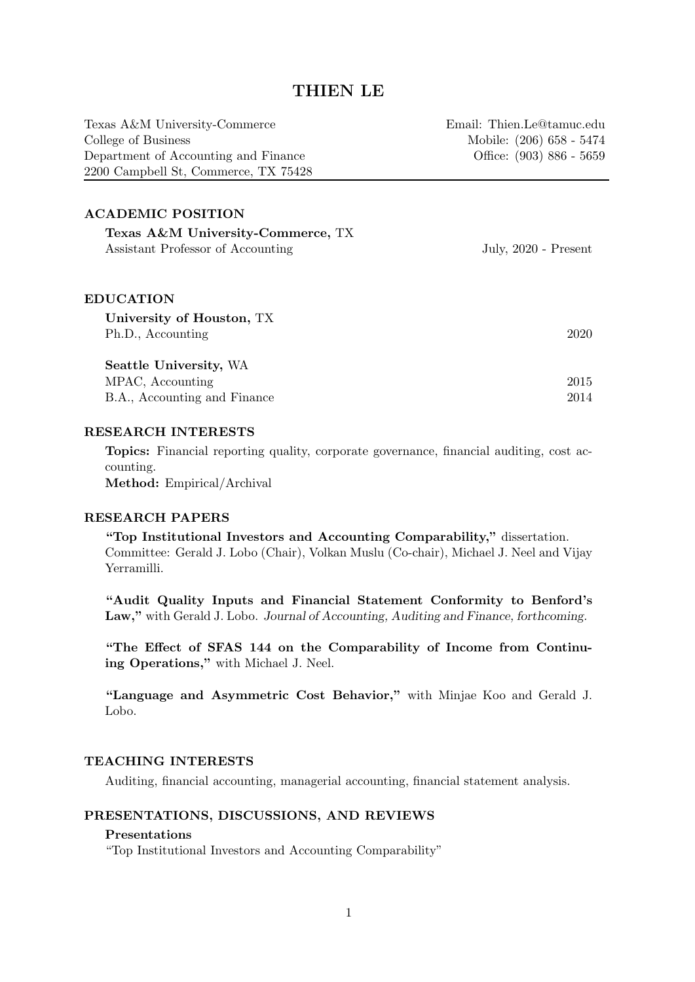# THIEN LE

| Texas A&M University-Commerce        | Email: Thien.Le@tamuc.edu |
|--------------------------------------|---------------------------|
| College of Business                  | Mobile: (206) 658 - 5474  |
| Department of Accounting and Finance | Office: (903) 886 - 5659  |
| 2200 Campbell St, Commerce, TX 75428 |                           |
|                                      |                           |

### ACADEMIC POSITION

| Texas A&M University-Commerce, TX<br>Assistant Professor of Accounting | July, $2020$ - Present |
|------------------------------------------------------------------------|------------------------|
| <b>EDUCATION</b>                                                       |                        |
| University of Houston, TX                                              |                        |
| Ph.D., Accounting                                                      | 2020                   |
| Seattle University, WA                                                 |                        |
| MPAC, Accounting                                                       | 2015                   |
| B.A., Accounting and Finance                                           | 2014                   |

#### RESEARCH INTERESTS

Topics: Financial reporting quality, corporate governance, financial auditing, cost accounting. Method: Empirical/Archival

### RESEARCH PAPERS

"Top Institutional Investors and Accounting Comparability," dissertation. Committee: Gerald J. Lobo (Chair), Volkan Muslu (Co-chair), Michael J. Neel and Vijay Yerramilli.

"Audit Quality Inputs and Financial Statement Conformity to Benford's Law," with Gerald J. Lobo. Journal of Accounting, Auditing and Finance, forthcoming.

"The Effect of SFAS 144 on the Comparability of Income from Continuing Operations," with Michael J. Neel.

"Language and Asymmetric Cost Behavior," with Minjae Koo and Gerald J. Lobo.

### TEACHING INTERESTS

Auditing, financial accounting, managerial accounting, financial statement analysis.

### PRESENTATIONS, DISCUSSIONS, AND REVIEWS

### Presentations

"Top Institutional Investors and Accounting Comparability"